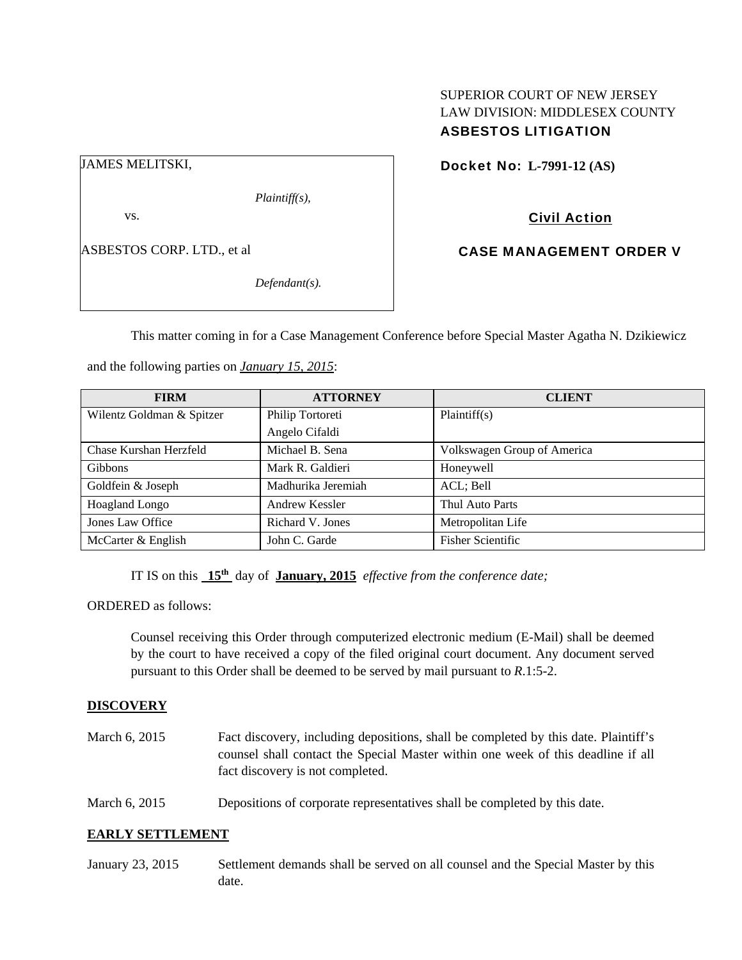# SUPERIOR COURT OF NEW JERSEY LAW DIVISION: MIDDLESEX COUNTY ASBESTOS LITIGATION

JAMES MELITSKI,

*Plaintiff(s),* 

vs.

ASBESTOS CORP. LTD., et al

*Defendant(s).* 

Docket No: **L-7991-12 (AS)** 

# Civil Action

CASE MANAGEMENT ORDER V

This matter coming in for a Case Management Conference before Special Master Agatha N. Dzikiewicz

and the following parties on *January 15, 2015*:

| <b>FIRM</b>               | <b>ATTORNEY</b>    | <b>CLIENT</b>               |
|---------------------------|--------------------|-----------------------------|
| Wilentz Goldman & Spitzer | Philip Tortoreti   | Plaintiff(s)                |
|                           | Angelo Cifaldi     |                             |
| Chase Kurshan Herzfeld    | Michael B. Sena    | Volkswagen Group of America |
| <b>Gibbons</b>            | Mark R. Galdieri   | Honeywell                   |
| Goldfein & Joseph         | Madhurika Jeremiah | ACL; Bell                   |
| Hoagland Longo            | Andrew Kessler     | Thul Auto Parts             |
| Jones Law Office          | Richard V. Jones   | Metropolitan Life           |
| McCarter & English        | John C. Garde      | <b>Fisher Scientific</b>    |

IT IS on this **15th** day of **January, 2015** *effective from the conference date;*

ORDERED as follows:

Counsel receiving this Order through computerized electronic medium (E-Mail) shall be deemed by the court to have received a copy of the filed original court document. Any document served pursuant to this Order shall be deemed to be served by mail pursuant to *R*.1:5-2.

## **DISCOVERY**

March 6, 2015 Fact discovery, including depositions, shall be completed by this date. Plaintiff's counsel shall contact the Special Master within one week of this deadline if all fact discovery is not completed. March 6, 2015 Depositions of corporate representatives shall be completed by this date.

## **EARLY SETTLEMENT**

January 23, 2015 Settlement demands shall be served on all counsel and the Special Master by this date.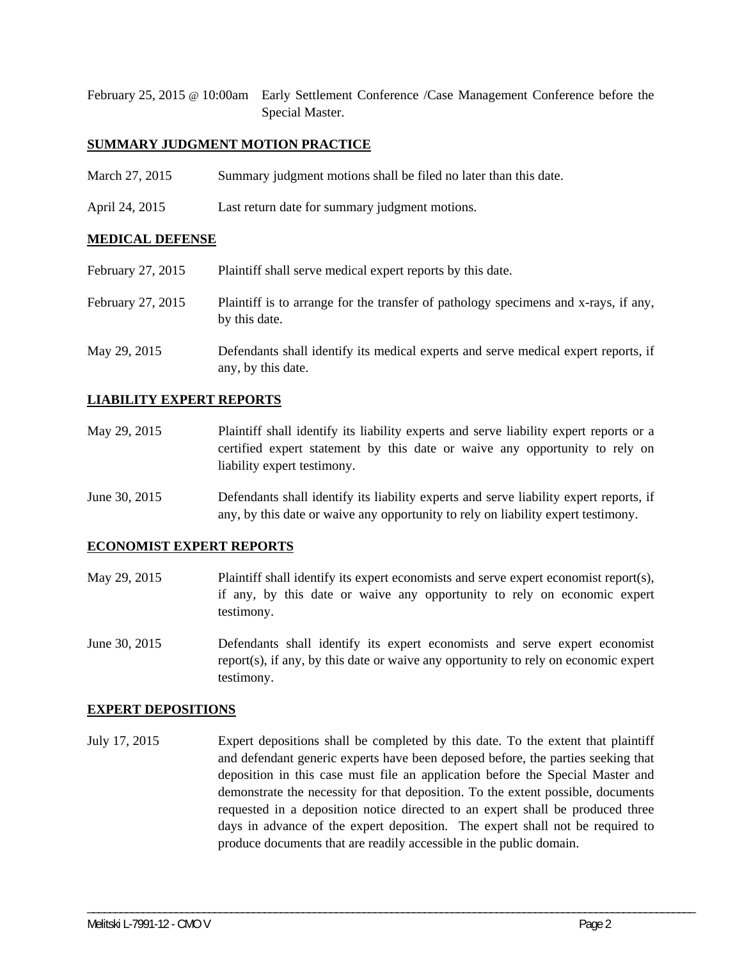February 25, 2015 @ 10:00am Early Settlement Conference /Case Management Conference before the Special Master.

#### **SUMMARY JUDGMENT MOTION PRACTICE**

- March 27, 2015 Summary judgment motions shall be filed no later than this date.
- April 24, 2015 Last return date for summary judgment motions.

### **MEDICAL DEFENSE**

| February 27, 2015 | Plaintiff shall serve medical expert reports by this date.                                               |
|-------------------|----------------------------------------------------------------------------------------------------------|
| February 27, 2015 | Plaintiff is to arrange for the transfer of pathology specimens and x-rays, if any,<br>by this date.     |
| May 29, 2015      | Defendants shall identify its medical experts and serve medical expert reports, if<br>any, by this date. |

### **LIABILITY EXPERT REPORTS**

- May 29, 2015 Plaintiff shall identify its liability experts and serve liability expert reports or a certified expert statement by this date or waive any opportunity to rely on liability expert testimony.
- June 30, 2015 Defendants shall identify its liability experts and serve liability expert reports, if any, by this date or waive any opportunity to rely on liability expert testimony.

#### **ECONOMIST EXPERT REPORTS**

- May 29, 2015 Plaintiff shall identify its expert economists and serve expert economist report(s), if any, by this date or waive any opportunity to rely on economic expert testimony.
- June 30, 2015 Defendants shall identify its expert economists and serve expert economist report(s), if any, by this date or waive any opportunity to rely on economic expert testimony.

#### **EXPERT DEPOSITIONS**

July 17, 2015 Expert depositions shall be completed by this date. To the extent that plaintiff and defendant generic experts have been deposed before, the parties seeking that deposition in this case must file an application before the Special Master and demonstrate the necessity for that deposition. To the extent possible, documents requested in a deposition notice directed to an expert shall be produced three days in advance of the expert deposition. The expert shall not be required to produce documents that are readily accessible in the public domain.

\_\_\_\_\_\_\_\_\_\_\_\_\_\_\_\_\_\_\_\_\_\_\_\_\_\_\_\_\_\_\_\_\_\_\_\_\_\_\_\_\_\_\_\_\_\_\_\_\_\_\_\_\_\_\_\_\_\_\_\_\_\_\_\_\_\_\_\_\_\_\_\_\_\_\_\_\_\_\_\_\_\_\_\_\_\_\_\_\_\_\_\_\_\_\_\_\_\_\_\_\_\_\_\_\_\_\_\_\_\_